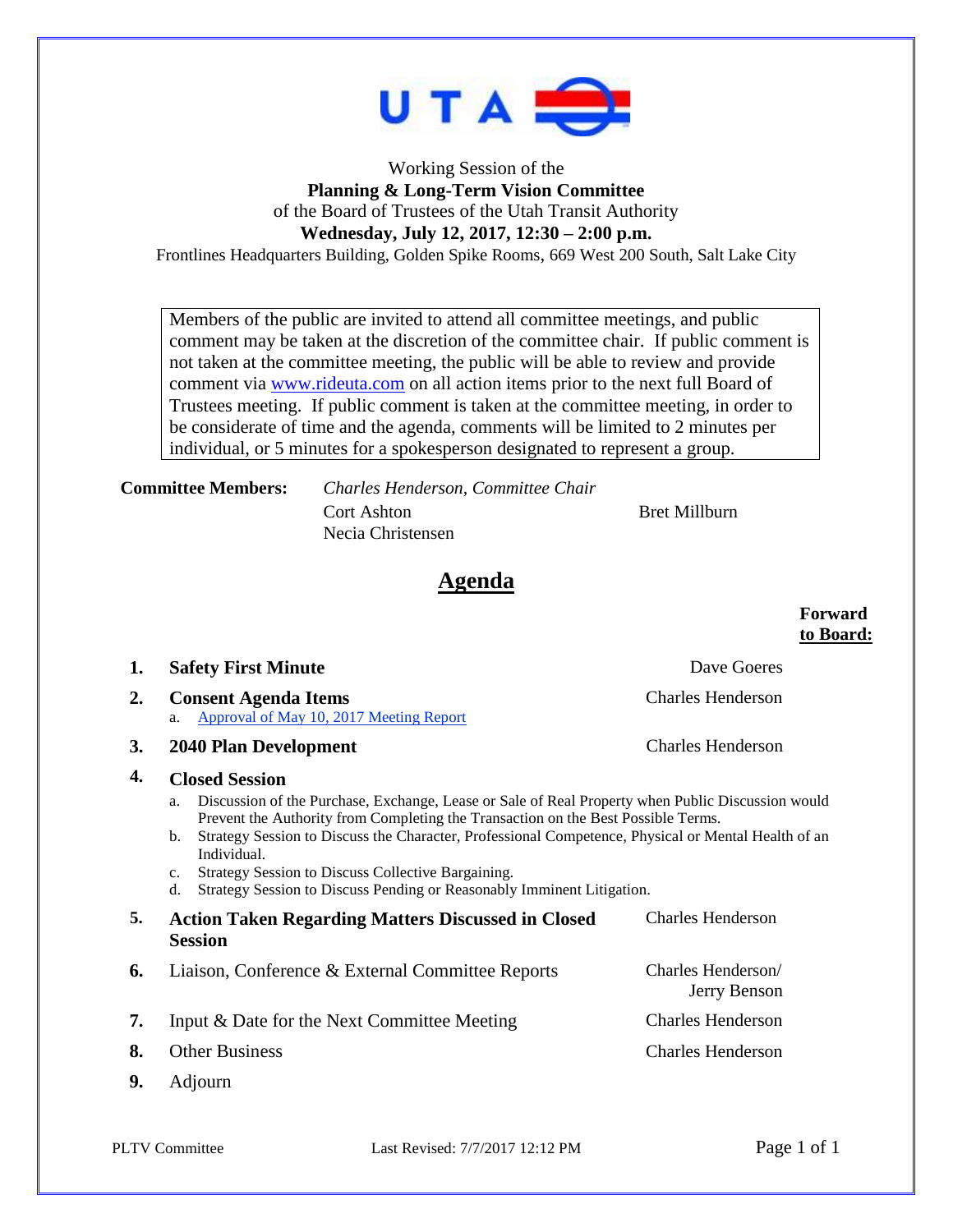

## Working Session of the **Planning & Long-Term Vision Committee** of the Board of Trustees of the Utah Transit Authority **Wednesday, July 12, 2017, 12:30 – 2:00 p.m.**

Frontlines Headquarters Building, Golden Spike Rooms, 669 West 200 South, Salt Lake City

Members of the public are invited to attend all committee meetings, and public comment may be taken at the discretion of the committee chair. If public comment is not taken at the committee meeting, the public will be able to review and provide comment via [www.rideuta.com](http://www.rideuta.com/) on all action items prior to the next full Board of Trustees meeting. If public comment is taken at the committee meeting, in order to be considerate of time and the agenda, comments will be limited to 2 minutes per individual, or 5 minutes for a spokesperson designated to represent a group.

**Committee Members:** *Charles Henderson, Committee Chair* Cort Ashton Bret Millburn Necia Christensen

# **Agenda**

|    |                                                                                                                                                                                                                                                                                                                                                                                                                                                                                                        | to Board:                          |
|----|--------------------------------------------------------------------------------------------------------------------------------------------------------------------------------------------------------------------------------------------------------------------------------------------------------------------------------------------------------------------------------------------------------------------------------------------------------------------------------------------------------|------------------------------------|
| 1. | <b>Safety First Minute</b>                                                                                                                                                                                                                                                                                                                                                                                                                                                                             | Dave Goeres                        |
| 2. | <b>Consent Agenda Items</b><br>Approval of May 10, 2017 Meeting Report<br>a.                                                                                                                                                                                                                                                                                                                                                                                                                           | <b>Charles Henderson</b>           |
| 3. | <b>2040 Plan Development</b>                                                                                                                                                                                                                                                                                                                                                                                                                                                                           | <b>Charles Henderson</b>           |
| 4. | <b>Closed Session</b><br>Discussion of the Purchase, Exchange, Lease or Sale of Real Property when Public Discussion would<br>a.<br>Prevent the Authority from Completing the Transaction on the Best Possible Terms.<br>Strategy Session to Discuss the Character, Professional Competence, Physical or Mental Health of an<br>b.<br>Individual.<br>Strategy Session to Discuss Collective Bargaining.<br>$C_{\star}$<br>Strategy Session to Discuss Pending or Reasonably Imminent Litigation.<br>d. |                                    |
| 5. | <b>Action Taken Regarding Matters Discussed in Closed</b><br><b>Session</b>                                                                                                                                                                                                                                                                                                                                                                                                                            | <b>Charles Henderson</b>           |
| 6. | Liaison, Conference & External Committee Reports                                                                                                                                                                                                                                                                                                                                                                                                                                                       | Charles Henderson/<br>Jerry Benson |
| 7. | Input & Date for the Next Committee Meeting                                                                                                                                                                                                                                                                                                                                                                                                                                                            | <b>Charles Henderson</b>           |
| 8. | <b>Other Business</b>                                                                                                                                                                                                                                                                                                                                                                                                                                                                                  | <b>Charles Henderson</b>           |
| 9. | Adjourn                                                                                                                                                                                                                                                                                                                                                                                                                                                                                                |                                    |

**Forward**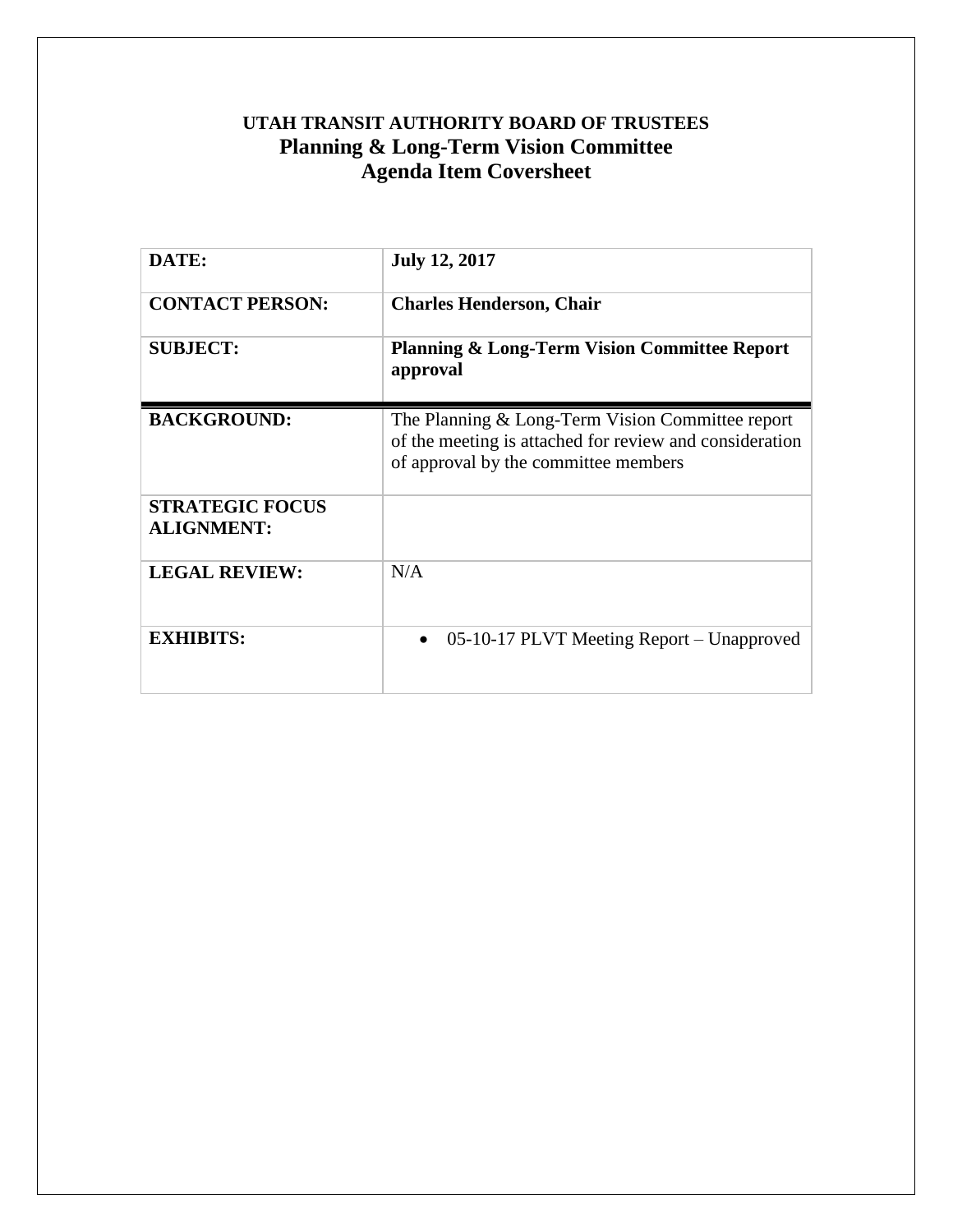# <span id="page-1-0"></span>**UTAH TRANSIT AUTHORITY BOARD OF TRUSTEES Planning & Long-Term Vision Committee Agenda Item Coversheet**

| DATE:                                       | <b>July 12, 2017</b>                                                                                                                                |
|---------------------------------------------|-----------------------------------------------------------------------------------------------------------------------------------------------------|
| <b>CONTACT PERSON:</b>                      | <b>Charles Henderson, Chair</b>                                                                                                                     |
| <b>SUBJECT:</b>                             | <b>Planning &amp; Long-Term Vision Committee Report</b><br>approval                                                                                 |
| <b>BACKGROUND:</b>                          | The Planning & Long-Term Vision Committee report<br>of the meeting is attached for review and consideration<br>of approval by the committee members |
| <b>STRATEGIC FOCUS</b><br><b>ALIGNMENT:</b> |                                                                                                                                                     |
| <b>LEGAL REVIEW:</b>                        | N/A                                                                                                                                                 |
| <b>EXHIBITS:</b>                            | 05-10-17 PLVT Meeting Report – Unapproved<br>$\bullet$                                                                                              |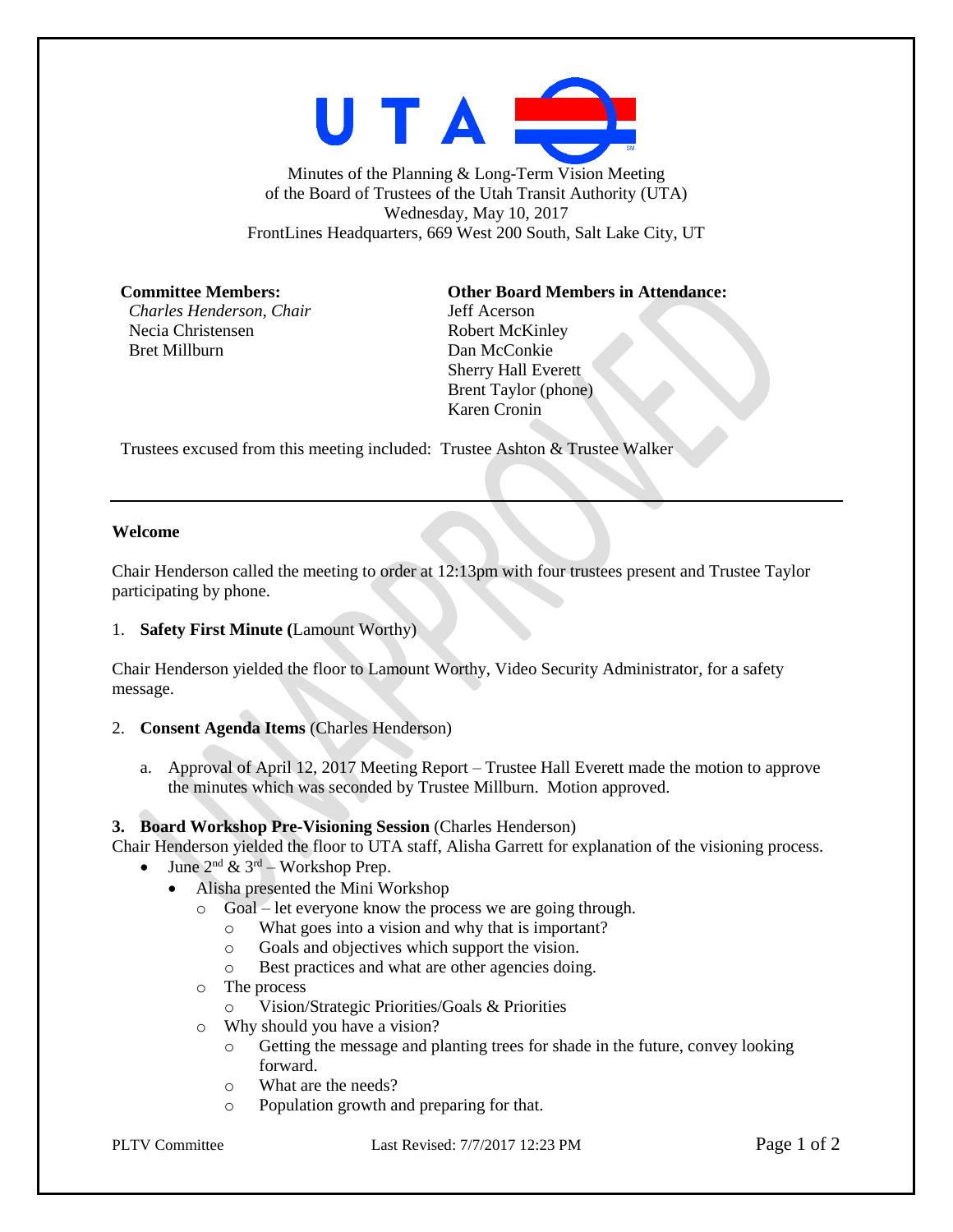

Minutes of the Planning & Long-Term Vision Meeting of the Board of Trustees of the Utah Transit Authority (UTA) Wednesday, May 10, 2017 FrontLines Headquarters, 669 West 200 South, Salt Lake City, UT

*Charles Henderson, Chair* Jeff Acerson Necia Christensen Robert McKinley Bret Millburn Dan McConkie

### **Committee Members: Other Board Members in Attendance:**

Sherry Hall Everett Brent Taylor (phone) Karen Cronin

Trustees excused from this meeting included: Trustee Ashton & Trustee Walker

#### **Welcome**

Chair Henderson called the meeting to order at 12:13pm with four trustees present and Trustee Taylor participating by phone.

#### 1. **Safety First Minute (**Lamount Worthy)

Chair Henderson yielded the floor to Lamount Worthy, Video Security Administrator, for a safety message.

#### 2. **Consent Agenda Items** (Charles Henderson)

a. Approval of April 12, 2017 Meeting Report – Trustee Hall Everett made the motion to approve the minutes which was seconded by Trustee Millburn. Motion approved.

#### **3. Board Workshop Pre-Visioning Session** (Charles Henderson)

Chair Henderson yielded the floor to UTA staff, Alisha Garrett for explanation of the visioning process.

- June  $2^{nd} \& 3^{rd}$  Workshop Prep.
	- Alisha presented the Mini Workshop
		- o Goal let everyone know the process we are going through.
			- o What goes into a vision and why that is important?
			- o Goals and objectives which support the vision.
			- o Best practices and what are other agencies doing.
		- o The process
			- o Vision/Strategic Priorities/Goals & Priorities
		- o Why should you have a vision?
			- o Getting the message and planting trees for shade in the future, convey looking forward.
			- o What are the needs?
			- o Population growth and preparing for that.

PLTV Committee Last Revised: 7/7/2017 12:23 PM Page 1 of 2